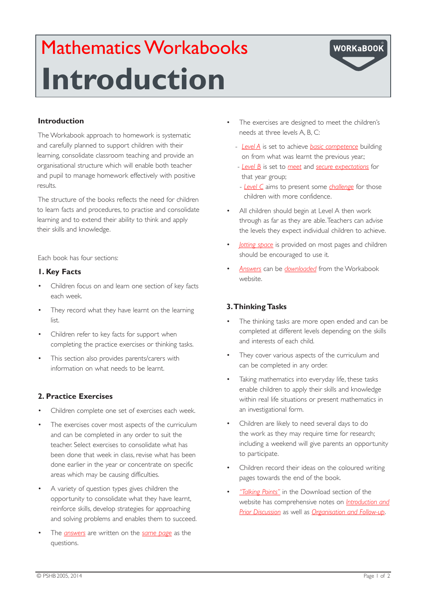# Mathematics Workabooks **Introduction**



# **Introduction**

The Workabook approach to homework is systematic and carefully planned to support children with their learning, consolidate classroom teaching and provide an organisational structure which will enable both teacher and pupil to manage homework effectively with positive results.

The structure of the books reflects the need for children to learn facts and procedures, to practise and consolidate learning and to extend their ability to think and apply their skills and knowledge.

Each book has four sections:

## **1. Key Facts**

- Children focus on and learn one section of key facts each week.
- They record what they have learnt on the learning lict.
- Children refer to key facts for support when completing the practice exercises or thinking tasks.
- This section also provides parents/carers with information on what needs to be learnt.

## **2. Practice Exercises**

- Children complete one set of exercises each week.
- The exercises cover most aspects of the curriculum and can be completed in any order to suit the teacher. Select exercises to consolidate what has been done that week in class, revise what has been done earlier in the year or concentrate on specific areas which may be causing difficulties.
- A variety of question types gives children the opportunity to consolidate what they have learnt, reinforce skills, develop strategies for approaching and solving problems and enables them to succeed.
- The *answers* are written on the *same page* as the questions.
- The exercises are designed to meet the children's needs at three levels A, B, C:
	- *Level A* is set to achieve *basic competence* building on from what was learnt the previous year.;
	- *Level B* is set to *meet* and *secure expectations* for that year group;
	- *Level C* aims to present some *challenge* for those children with more confidence.
- All children should begin at Level A then work through as far as they are able. Teachers can advise the levels they expect individual children to achieve.
- *<u>lotting space</u>* is provided on most pages and children should be encouraged to use it.
- Answers can be *downloaded* from the Workabook website.

# **3. Thinking Tasks**

- The thinking tasks are more open ended and can be completed at different levels depending on the skills and interests of each child.
- They cover various aspects of the curriculum and can be completed in any order.
- Taking mathematics into everyday life, these tasks enable children to apply their skills and knowledge within real life situations or present mathematics in an investigational form.
- Children are likely to need several days to do the work as they may require time for research; including a weekend will give parents an opportunity to participate.
- Children record their ideas on the coloured writing pages towards the end of the book.
- "Talking Points" in the Download section of the website has comprehensive notes on *Introduction and Prior Discussion* as well as *Organisation and Follow-up*.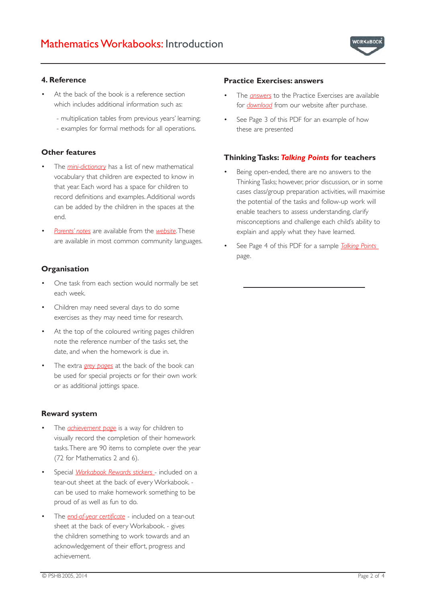

#### **4. Reference**

- At the back of the book is a reference section which includes additional information such as:
	- multiplication tables from previous years' learning;
	- examples for formal methods for all operations.

### **Other features**

- The *mini-dictionary* has a list of new mathematical vocabulary that children are expected to know in that year. Each word has a space for children to record definitions and examples. Additional words can be added by the children in the spaces at the end.
- **Parents' notes** are available from the *website*. These are available in most common community languages.

# **Organisation**

- One task from each section would normally be set each week.
- Children may need several days to do some exercises as they may need time for research.
- At the top of the coloured writing pages children note the reference number of the tasks set, the date, and when the homework is due in.
- The extra *grey pages* at the back of the book can be used for special projects or for their own work or as additional jottings space.

#### **Reward system**

- The *achievement page* is a way for children to visually record the completion of their homework tasks. There are 90 items to complete over the year (72 for Mathematics 2 and 6).
- Special *Workabook Rewards stickers* included on a tear-out sheet at the back of every Workabook. can be used to make homework something to be proud of as well as fun to do.
- The *end-of-year certificate* included on a tear-out sheet at the back of every Workabook. - gives the children something to work towards and an acknowledgement of their effort, progress and achievement.

#### **Practice Exercises: answers**

- The *answers* to the Practice Exercises are available for *download* from our website after purchase.
- See Page 3 of this PDF for an example of how these are presented

### **Thinking Tasks:** *Talking Points* **for teachers**

- Being open-ended, there are no answers to the Thinking Tasks; however, prior discussion, or in some cases class/group preparation activities, will maximise the potential of the tasks and follow-up work will enable teachers to assess understanding, clarify misconceptions and challenge each child's ability to explain and apply what they have learned.
- See Page 4 of this PDF for a sample *Talking Points* page.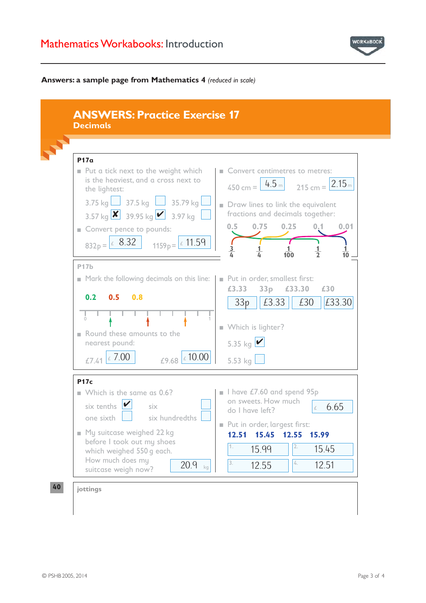# Mathematics Workabooks: Introduction



#### **Answers: a sample page from Mathematics 4** *(reduced in scale)*